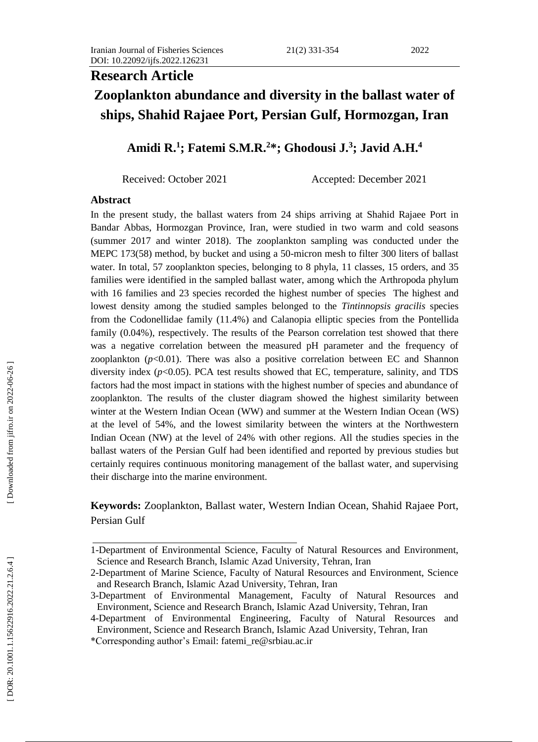#### 2) 331 -

#### 2022

# **Research Article**

# **Zooplankton abundance and diversity in the ballast water of ships, Shahid Rajaee Port, Persian Gulf, Hormozgan, Iran**

# **Amidi R. 1 ; Fatemi S.M.R. <sup>2</sup>\*; Ghodousi J. 3 ; Javid A.H. 4**

Received: October 2021 Accepted: December 2021

# **Abstract**

In the present study, the ballast water s from 24 ships arriving at Shahid Rajaee Port in Band ar Abbas, Hormozgan Province, Iran, were studied in two warm and cold seasons (summer 2017 and winter 2018). The zooplankton sampling was conducted under the MEPC 173(58) method, by bucket and using a 50 -micron mesh to filter 300 liters of ballast water. In total, 57 zooplankton species, belonging to 8 phyla, 11 classes, 15 orders , and 35 families were identified in the sampled ballast water, among which the A rthropoda phylum with 16 families and 23 species recorded the highest number of species The highest and lowest density among the studied samples belonged to the *Tintinnopsis gracilis* species from the Codonellidae family (11.4 %) and Calanopia elliptic species from the Pontellida family (0.04%), respectively. The results of the Pearson correlation test showed that there was a negative correlation between the measured pH parameter and the frequency of zooplankton  $(p<0.01)$ . There was also a positive correlation between EC and Shannon diversity index  $(p<0.05)$ . PCA test results showed that EC, temperature, salinity, and TDS factors had the most impact in stations with the highest number of species and abundance of zooplankton. The results of the cluster diagram showed the highest similarity between winter at the Western Indian Ocean (WW) and summer at the Western Indian Ocean (WS) at the level of 54%, and the lowest similarity between the winters at the Northwestern Indian Ocean (NW) at the level of 24% with other regions. All the studies species in the ballast waters of the Persian Gulf had been identified and reported by previous studies but certainly requires continuous monitoring management of the ballast water, and supervising their discharge into the marine environment.

**Keywords:** Zooplankton, Ballast water, Western Indian Ocean, Shahid Rajaee Port , Persian Gulf

<sup>1-</sup>Department of Environmental Science, Faculty of Natural Resources and Environment, Science and Research Branch, Islamic Azad University, Tehran, Iran

<sup>2</sup> -Department of Marine Science, Faculty of Natural Resources and Environment, Science and Research Branch, Islamic Azad University, Tehran, Iran

<sup>3</sup> -Department of Environmental Management, Faculty of Natural Resources and Environment, Science and Research Branch, Islamic Azad University, Tehran, Iran

<sup>4</sup> -Department of Environmental Engineering, Faculty of Natural Resources and Environment, Science and Research Branch, Islamic Azad University, Tehran, Iran

<sup>\*</sup>Corresponding author's Email: fatemi\_re@srbiau.ac.ir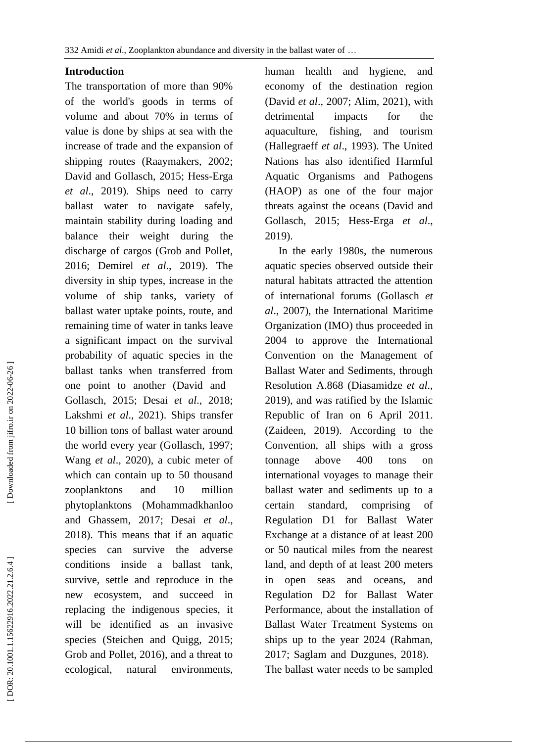# **Introduction**

The transportation of more than 90% of the world's goods in terms of volume and about 70% in terms of value is done by ships at sea with the increase of trade and the expansion of shipping routes (Raaymakers, 2002; David and Gollasch, 2015 ; Hess -Erga *et al*., 2019). Ships need to carry ballast water to navigate safely, maintain stability during loading and balance their weight during the discharge of cargos (Grob and Pollet, 2016; Demirel *et al*., 2019). The diversity in ship types, increase in the volume of ship tanks, variety of ballast water uptake points, route , and remaining time of water in tanks leave a significant impact on the survival probability of aquatic species in the ballast tanks when transferred from one point to another ( David and Gollasch, 2015; Desai *et al*., 2018; Lakshmi *et al*., 2021). Ships transfer 10 billion tons of ballast water around the world every year (Gollasch, 1997; Wang *et al*., 20 2 0), a cubic meter of which can contain up to 50 thousand zooplanktons and 10 million phytoplankton s (Mohammadkhanloo and Ghassem, 2017; Desai *et al*., 2018). This means that if an aquatic species can survive the adverse conditions inside a ballast tank, survive, settle and reproduce in the new ecosystem, and succeed in replacing the indigenous species, it will be identified as an invasive species (Steichen and Quigg, 2015; Grob and Pollet, 2016), and a threat to ecological, natural environments,

human health and hygiene, and economy of the destination region (David *et al*., 2007; Alim, 2021), with detrimental impacts for the aquaculture. fishing, and tourism (Hallegraeff *et al*., 1993). The United Nations has also identified Harmful Aquatic Organisms and Pathogens (HAOP) as one of the four major threats against the oceans (David and Gollasch, 2015; Hess -Erga *et al*., 2019).

 In the early 1980s, the numerous aquatic species observed outside their natural habitats attracted the attention of international forums (Gollasch *et al*., 2007), the International Maritime Organization (IMO) thus proceeded in 2004 to approve the International Convention on the Management of Ballast Water and Sediments, through Resolution A.868 (Diasamidze *et al*., 2019 ) , and was ratified by the Islamic Republic of Iran on 6 April 2011 . (Zaideen, 2019) . According to the Convention, all ships with a gross tonnage above 400 tons on international voyages to manage their ballast water and sediments up to a certain standard, comprising of Regulation D1 for Ballast Water Exchange at a distance of at least 200 or 50 nautical miles from the nearest land, and depth of at least 200 meters in open seas and oceans, and Regulation D2 for Ballast Water Performance, about the installation of Ballast Water Treatment Systems on ships up to the year 2024 (Rahman, 2017; Saglam and Duzgunes, 2018). The ballast water needs to be sampled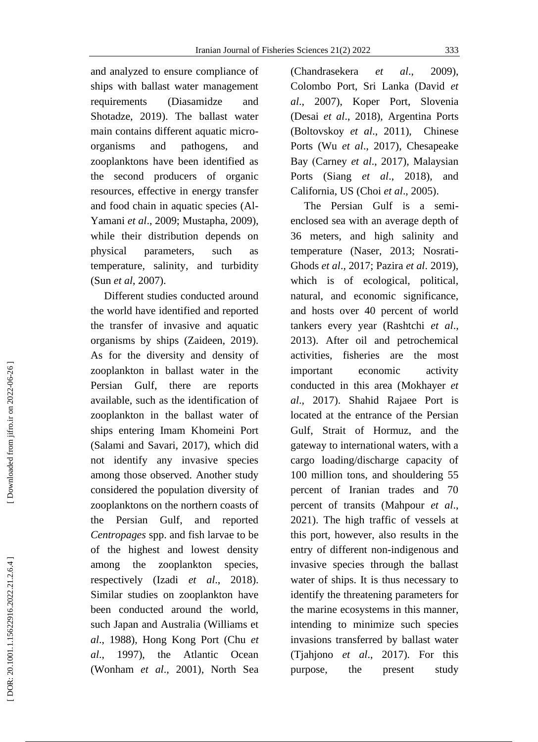and analyzed to ensure compliance of ships with ballast water management requirements (Diasamidze and Shotadze, 2019). The ballast water main contain s different aquatic micro organisms and pathogens, and zooplanktons have been identified as the second producers of organic resources, effective in energy transfer and food chain in aquatic species (Al - Yamani *et al*., 2009; Mustapha, 2009), while their distribution depends on physical parameters, such as temperature, salinity , and turbidity ( Sun *et al*, 2007).

 Different studies conducted around the world have identified and reported the transfer of invasive and aquatic organisms by ships (Zaideen, 2019). As for the diversity and density of zooplankton in ballast water in the Persian Gulf, there are reports available, such as the identification of zooplankton in the ballast water of ships entering Imam Khomeini Port (Salami and Savari, 2017), which did not identify any invasive species among those observed. Another study considered the population diversity of zooplanktons on the northern coasts of the Persian Gulf, and reported *Centropages* spp. and fish larvae to be of the highest and lowest density among the zooplankton species, respectively (Izadi *et al*., 2018). Similar studies on zooplankton have been conducted around the world, such Japan and Australia (Williams et *al*., 1988), Hong Kong Port (Chu *et al*., 1997), the Atlantic Ocean (Wonham *et al*., 2001), North Sea (Chandrasekera *et al.*, 2009). Colombo Port, Sri Lanka (David *et al*., 2007), Koper Port, Slovenia (Desai *et al*., 2018), Argentina Port s (Boltovskoy *et al*., 2011 ) , Chinese Ports (Wu *et al*., 2017), Chesapeake Bay (Carney *et al.*, 2017), Malaysian Ports (Siang *et al*., 2018), and California, US (Choi *et al*., 2005).

 The Persian Gulf is a semi enclosed sea with an average depth of 36 meters, and high salinity and temperature (Naser, 2013; Nosrati - Ghods *et al*., 2017; Pazira *et al*. 2019), which is of ecological, political, natural, and economic significance, and hosts over 40 percent of world tankers every year (Rashtchi *et al*., 2013). After oil and petrochemical activities, fisheries are the most important economic activity conducted in this area (Mokhayer *et al*., 201 7). Shahid Rajaee Port is located at the entrance of the Persian Gulf, Strait of Hormuz , and the gateway to international waters, with a cargo loading/discharge capacity of 100 million tons, and shouldering 55 percent of Iranian trades and 70 percent of transits (Mahpour *et al* ., 2021). The high traffic of vessels at this port, however, also results in the entry of different non -indigenous and invasive species through the ballast water of ships. It is thus necessary to identify the threatening parameters for the marine ecosystems in this manner, intending to minimize such species invasions transferred by ballast water (Tjahjono *et al*., 2017). For this purpose, the present study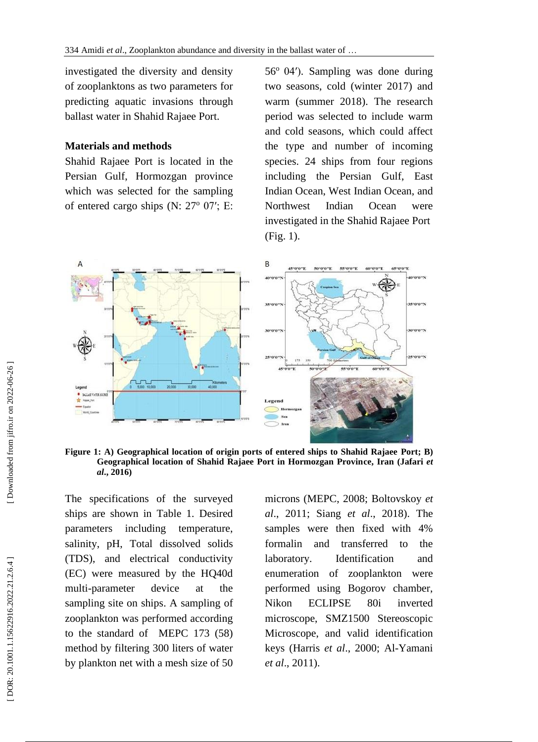investigated the diversity and density of zooplanktons as two parameters for predicting aquatic invasions through ballast water in Shahid Rajaee Port.

# **Materials and methods**

Shahid Rajaee Port is located in the Persian Gulf, Hormozgan province which was selected for the sampling of entered cargo ships (N: 27° 07'; E:

56 <sup>o</sup>04′). Sampling was done during two seasons, cold (winter 201 7) and warm (summer 201 8). The research period was selected to include warm and cold seasons, which could affect the type and number of incoming species. 24 ships from four regions including the Persian Gulf, East Indian Ocean, West Indian Ocean, and Northwest Indian Ocean were investigated in the Shahid Rajaee Port (Fig. 1 ) .



**Figure 1: A) Geographical location of origin ports of entered ships to Shahid Rajaee Port; B) Geographical location of Shahid Rajaee Port in Hormozgan Province, Iran (Jafari** *et al***., 2016)**

The specifications of the surveyed ships are shown in Table 1. Desired parameters including temperature, salinity, pH, Total dissolve d solids (TDS), and electrical conductivity (EC) were measured by the HQ40d multi -parameter device at the sampling site on ships . A sampling of zooplankton was performed according to the standard of MEPC 173 (58) method by filtering 300 liters of water by plankton net with a mesh size of 50

microns (MEPC, 2008 ; Boltovskoy *et al*., 2011 ; Siang *et al*., 2018). The samples were then fixed with 4% formalin and transferred to the laboratory . Identification and e numeration of zooplankton were performed using Bogorov chamber, Nikon ECLIPSE 80i inverted microscope, SMZ1500 Stereoscopic Microscope, and valid identification keys (Harris *et al*., 2000; Al -Yamani *et al*., 2011).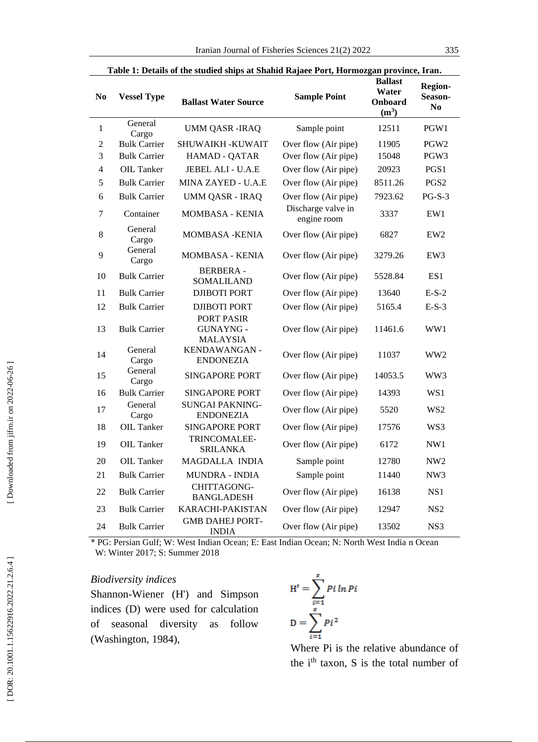|                  | Table 1: Details of the studied ships at Shahid Rajaee Port, Hormozgan province, Iran. |                                            |                                   |                                               |                                             |  |  |  |  |  |
|------------------|----------------------------------------------------------------------------------------|--------------------------------------------|-----------------------------------|-----------------------------------------------|---------------------------------------------|--|--|--|--|--|
| N <sub>0</sub>   | <b>Vessel Type</b>                                                                     | <b>Ballast Water Source</b>                | <b>Sample Point</b>               | <b>Ballast</b><br>Water<br>Onboard<br>$(m^3)$ | <b>Region-</b><br>Season-<br>N <sub>0</sub> |  |  |  |  |  |
| $\mathbf{1}$     | General<br>Cargo                                                                       | <b>UMM QASR-IRAQ</b>                       | Sample point                      | 12511                                         | PGW1                                        |  |  |  |  |  |
| $\boldsymbol{2}$ | <b>Bulk Carrier</b>                                                                    | SHUWAIKH -KUWAIT                           | Over flow (Air pipe)              | 11905                                         | PGW <sub>2</sub>                            |  |  |  |  |  |
| 3                | <b>Bulk Carrier</b>                                                                    | HAMAD - QATAR                              | Over flow (Air pipe)              | 15048                                         | PGW <sub>3</sub>                            |  |  |  |  |  |
| 4                | OIL Tanker                                                                             | <b>JEBEL ALI - U.A.E</b>                   | Over flow (Air pipe)              | 20923                                         | PGS1                                        |  |  |  |  |  |
| 5                | <b>Bulk Carrier</b>                                                                    | MINA ZAYED - U.A.E                         | Over flow (Air pipe)              | 8511.26                                       | PGS <sub>2</sub>                            |  |  |  |  |  |
| 6                | <b>Bulk Carrier</b>                                                                    | <b>UMM QASR - IRAQ</b>                     | Over flow (Air pipe)              | 7923.62                                       | $PG-S-3$                                    |  |  |  |  |  |
| 7                | Container                                                                              | <b>MOMBASA - KENIA</b>                     | Discharge valve in<br>engine room | 3337                                          | EW1                                         |  |  |  |  |  |
| 8                | General<br>Cargo                                                                       | <b>MOMBASA - KENIA</b>                     | Over flow (Air pipe)              | 6827                                          | EW <sub>2</sub>                             |  |  |  |  |  |
| 9                | General<br>Cargo                                                                       | <b>MOMBASA - KENIA</b>                     | Over flow (Air pipe)              | 3279.26                                       | EW <sub>3</sub>                             |  |  |  |  |  |
| 10               | <b>Bulk Carrier</b>                                                                    | <b>BERBERA -</b><br>SOMALILAND             | Over flow (Air pipe)              | 5528.84                                       | ES <sub>1</sub>                             |  |  |  |  |  |
| 11               | <b>Bulk Carrier</b>                                                                    | <b>DJIBOTI PORT</b>                        | Over flow (Air pipe)              | 13640                                         | $E-S-2$                                     |  |  |  |  |  |
| 12               | <b>Bulk Carrier</b>                                                                    | <b>DJIBOTI PORT</b>                        | Over flow (Air pipe)              | 5165.4                                        | $E-S-3$                                     |  |  |  |  |  |
| 13               | <b>Bulk Carrier</b>                                                                    | PORT PASIR<br>GUNAYNG -<br><b>MALAYSIA</b> | Over flow (Air pipe)              | 11461.6                                       | WW1                                         |  |  |  |  |  |
| 14               | General<br>Cargo                                                                       | KENDAWANGAN -<br><b>ENDONEZIA</b>          | Over flow (Air pipe)              | 11037                                         | WW2                                         |  |  |  |  |  |
| 15               | General<br>Cargo                                                                       | <b>SINGAPORE PORT</b>                      | Over flow (Air pipe)              | 14053.5                                       | WW3                                         |  |  |  |  |  |
| 16               | <b>Bulk Carrier</b>                                                                    | <b>SINGAPORE PORT</b>                      | Over flow (Air pipe)              | 14393                                         | WS1                                         |  |  |  |  |  |
| 17               | General<br>Cargo                                                                       | <b>SUNGAI PAKNING-</b><br><b>ENDONEZIA</b> | Over flow (Air pipe)              | 5520                                          | WS <sub>2</sub>                             |  |  |  |  |  |
| 18               | <b>OIL Tanker</b>                                                                      | <b>SINGAPORE PORT</b>                      | Over flow (Air pipe)              | 17576                                         | WS3                                         |  |  |  |  |  |
| 19               | <b>OIL Tanker</b>                                                                      | TRINCOMALEE-<br><b>SRILANKA</b>            | Over flow (Air pipe)              | 6172                                          | NW1                                         |  |  |  |  |  |
| 20               | OIL Tanker                                                                             | MAGDALLA INDIA                             | Sample point                      | 12780                                         | NW <sub>2</sub>                             |  |  |  |  |  |
| 21               | <b>Bulk Carrier</b>                                                                    | MUNDRA - INDIA                             | Sample point                      | 11440                                         | NW <sub>3</sub>                             |  |  |  |  |  |
| 22               | <b>Bulk Carrier</b>                                                                    | CHITTAGONG-<br><b>BANGLADESH</b>           | Over flow (Air pipe)              | 16138                                         | NS <sub>1</sub>                             |  |  |  |  |  |
| 23               | <b>Bulk Carrier</b>                                                                    | KARACHI-PAKISTAN                           | Over flow (Air pipe)              | 12947                                         | NS <sub>2</sub>                             |  |  |  |  |  |
| 24               | <b>Bulk Carrier</b>                                                                    | <b>GMB DAHEJ PORT-</b><br><b>INDIA</b>     | Over flow (Air pipe)              | 13502                                         | NS <sub>3</sub>                             |  |  |  |  |  |

 \* PG: Persian Gulf; W: West Indian Ocean; E: East Indian Ocean; N: North West India n Ocean W: Winter 2017; S: Summer 2018

### *Biodiversity indices*

 $\overline{\phantom{0}}$ 

Shannon -Wiener (H') and Simpson indices (D) were used for calculation of seasonal diversity as follow (Washington, 1984),

$$
H' = \sum_{i=1}^{s} P i \ln P i
$$

$$
D = \sum_{i=1}^{s} P i^2
$$

Where Pi is the relative abundance of the i<sup>th</sup> taxon, S is the total number of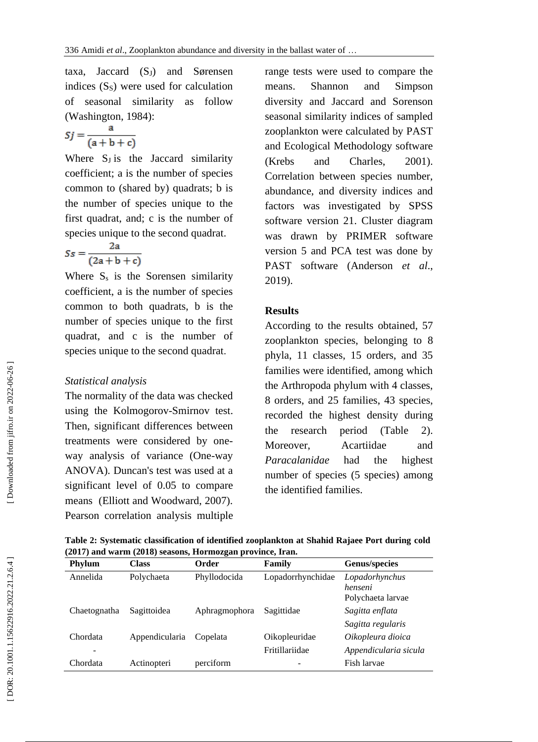taxa, Jaccard (S <sup>J</sup>) and Sørensen indices (S <sup>S</sup>) were used for calculation of seasonal similarity as follow (Washington, 1984 ) :

$$
Sj = \frac{a}{(a+b+c)}
$$

Where S<sub>J</sub> is the Jaccard similarity coefficient; a is the number of species common to (shared by) quadrats; b is the number of species unique to the first quadrat, and; c is the number of species unique to the second quadrat .

$$
Ss = \frac{2a}{(2a+b+c)}
$$

Where  $S_s$  is the Sorensen similarity coefficient, a is the number of species common to both quadrats, b is the number of species unique to the first quadrat, and c is the number of species unique to the second quadrat.

# *Statistical analysis*

The normality of the data was checked using the Kolmogorov -Smirnov test. Then, significant differences between treatments were considered by one way analysis of variance (One -way ANOVA). Duncan's test was used at a significant level of 0.05 to compare means (Elliott and Woodward, 2007). Pearson correlation analysis multiple

range tests were used to compare the means. Shannon and Simpson diversity and Jaccard and Sorenson seasonal similarity indices of sampled zooplankton were calculated by PAST and Ecological Methodology software (Krebs and Charle  $2001$ ). Correlation between species number, abundance, and diversity indices and factors was investigated by SPSS software version 21. Cluster diagram was drawn by PRIMER software version 5 and PCA test was done by PAST software (Anderson *et al*., 201 9).

# **Result s**

According to the results obtained, 57 zooplankton species, belonging to 8 phyla, 11 classes, 15 orders , and 35 families were identified, among which the A rthropoda phylum with 4 classes, 8 orders , and 25 families, 43 species , recorded the highest density during the research period (Table 2). Moreover, Acartiidae and *Paracalanidae* had the highest number of species ( 5 species) among the identified families.

| <b>Phylum</b> | <b>Class</b>   | Order         | Family            | Genus/species                                  |
|---------------|----------------|---------------|-------------------|------------------------------------------------|
| Annelida      | Polychaeta     | Phyllodocida  | Lopadorrhynchidae | Lopadorhynchus<br>henseni<br>Polychaeta larvae |
| Chaetognatha  | Sagittoidea    | Aphragmophora | Sagittidae        | Sagitta enflata                                |
|               |                |               |                   | Sagitta regularis                              |
| Chordata      | Appendicularia | Copelata      | Oikopleuridae     | Oikopleura dioica                              |
|               |                |               | Fritillariidae    | Appendicularia sicula                          |
| Chordata      | Actinopteri    | perciform     |                   | Fish larvae                                    |

**Table 2: Systematic classification of identified zooplankton at Shahid Rajaee Port during cold (2017) and warm (2018) seasons, Hormozgan province, Iran.**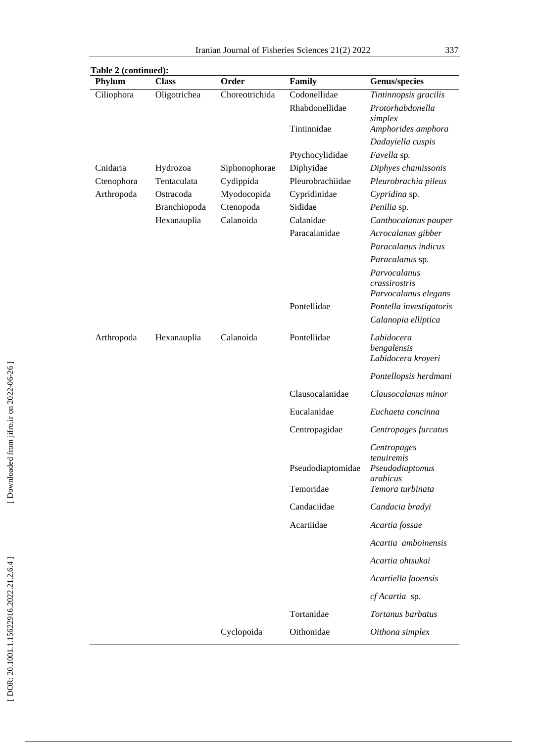| Table 2 (continued):<br>Phylum | <b>Class</b> | Order          | Family                         | <b>Genus/species</b>                                                         |
|--------------------------------|--------------|----------------|--------------------------------|------------------------------------------------------------------------------|
| Ciliophora                     | Oligotrichea | Choreotrichida | Codonellidae                   | Tintinnopsis gracilis                                                        |
|                                |              |                | Rhabdonellidae                 | Protorhabdonella<br>simplex                                                  |
|                                |              |                | Tintinnidae                    | Amphorides amphora                                                           |
|                                |              |                |                                | Dadayiella cuspis                                                            |
|                                |              |                | Ptychocylididae                | Favella sp.                                                                  |
| Cnidaria                       | Hydrozoa     | Siphonophorae  | Diphyidae                      | Diphyes chamissonis                                                          |
| Ctenophora                     | Tentaculata  | Cydippida      | Pleurobrachiidae               | Pleurobrachia pileus                                                         |
| Arthropoda                     | Ostracoda    | Myodocopida    | Cypridinidae                   | Cypridina sp.                                                                |
|                                | Branchiopoda | Ctenopoda      | Sididae                        | Penilia sp.                                                                  |
|                                | Hexanauplia  | Calanoida      | Calanidae                      | Canthocalanus pauper                                                         |
|                                |              |                | Paracalanidae                  | Acrocalanus gibber                                                           |
|                                |              |                |                                | Paracalanus indicus                                                          |
|                                |              |                |                                | Paracalanus sp.                                                              |
|                                |              |                |                                | Parvocalanus<br>crassirostris<br>Parvocalanus elegans                        |
|                                |              |                | Pontellidae                    | Pontella investigatoris                                                      |
|                                |              |                |                                | Calanopia elliptica                                                          |
| Arthropoda                     | Hexanauplia  | Calanoida      | Pontellidae                    | Labidocera<br>bengalensis<br>Labidocera kroyeri                              |
|                                |              |                |                                | Pontellopsis herdmani                                                        |
|                                |              |                | Clausocalanidae                | Clausocalanus minor                                                          |
|                                |              |                | Eucalanidae                    | Euchaeta concinna                                                            |
|                                |              |                | Centropagidae                  | Centropages furcatus                                                         |
|                                |              |                | Pseudodiaptomidae<br>Temoridae | Centropages<br>tenuiremis<br>Pseudodiaptomus<br>arabicus<br>Temora turbinata |
|                                |              |                |                                |                                                                              |
|                                |              |                | Candaciidae                    | Candacia bradyi                                                              |
|                                |              |                | Acartiidae                     | Acartia fossae                                                               |
|                                |              |                |                                | Acartia amboinensis                                                          |
|                                |              |                |                                | Acartia ohtsukai                                                             |
|                                |              |                |                                | Acartiella faoensis                                                          |
|                                |              |                |                                | cf Acartia sp.                                                               |
|                                |              |                | Tortanidae                     | Tortanus barbatus                                                            |
|                                |              | Cyclopoida     | Oithonidae                     | Oithona simplex                                                              |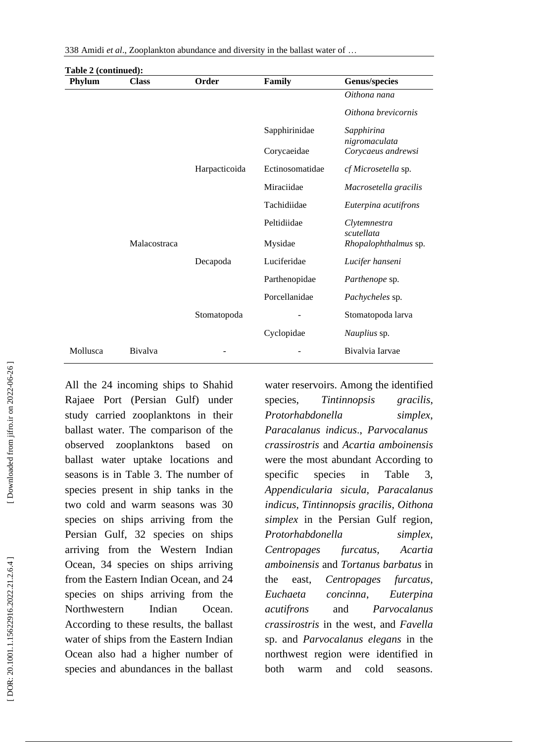| Table 2 (continued): |              |               |                 |                             |
|----------------------|--------------|---------------|-----------------|-----------------------------|
| Phylum               | <b>Class</b> | Order         | Family          | <b>Genus/species</b>        |
|                      |              |               |                 | Oithona nana                |
|                      |              |               |                 | Oithona brevicornis         |
|                      |              |               | Sapphirinidae   | Sapphirina<br>nigromaculata |
|                      |              |               | Corycaeidae     | Corycaeus andrewsi          |
|                      |              | Harpacticoida | Ectinosomatidae | cf Microsetella sp.         |
|                      |              |               | Miraciidae      | Macrosetella gracilis       |
|                      |              |               | Tachidiidae     | Euterpina acutifrons        |
|                      |              |               | Peltidiidae     | Clytemnestra<br>scutellata  |
|                      | Malacostraca |               | Mysidae         | Rhopalophthalmus sp.        |
|                      |              | Decapoda      | Luciferidae     | Lucifer hanseni             |
|                      |              |               | Parthenopidae   | <i>Parthenope</i> sp.       |
|                      |              |               | Porcellanidae   | Pachycheles sp.             |
|                      |              | Stomatopoda   |                 | Stomatopoda larva           |
|                      |              |               | Cyclopidae      | Nauplius sp.                |
| Mollusca             | Bivalva      |               |                 | Bivalvia Iarvae             |

All the 24 incoming ships to Shahid Rajaee Port (Persian Gulf) under study carried zooplanktons in their ballast water. The comparison of the observed zooplanktons based on ballast water uptake locations and seasons is in Table 3. The number of species present in ship tanks in the two cold and warm seasons was 30 species on ships arriving from the Persian Gulf, 32 species on ships arriving from the Western Indian Ocean, 34 species on ships arriving from the Eastern Indian Ocean, and 24 species on ships arriving from the Northwestern Indian Ocean. According to these results, the ballast water of ships from the Eastern Indian Ocean also had a higher number of species and abundances in the ballast

water reservoirs. Among the identified species, *Tintinnopsis gracilis*, *Protorhabdonella simplex*, *Paracalanus indicus* ., *Parvocalanus crassirostris* and *Acartia amboinensis* were the most abundant According to specific species in Table 3, *Appendicularia sicula, Paracalanus indicus*, *Tintinnopsis gracilis*, *Oithona simplex* in the Persian Gulf region, *Protorhabdonella simplex*, *Centropages furcatus, Acartia amboinensis* and *Tortanus barbatus* in the east, *Centropages furcatus*, *Euchaeta concinna*, *Euterpina acutifrons* and *Parvocalanus crassirostris* in the west, and *Favella* sp. and *Parvocalanus elegans* in the northwest region were identified in both warm and cold seasons.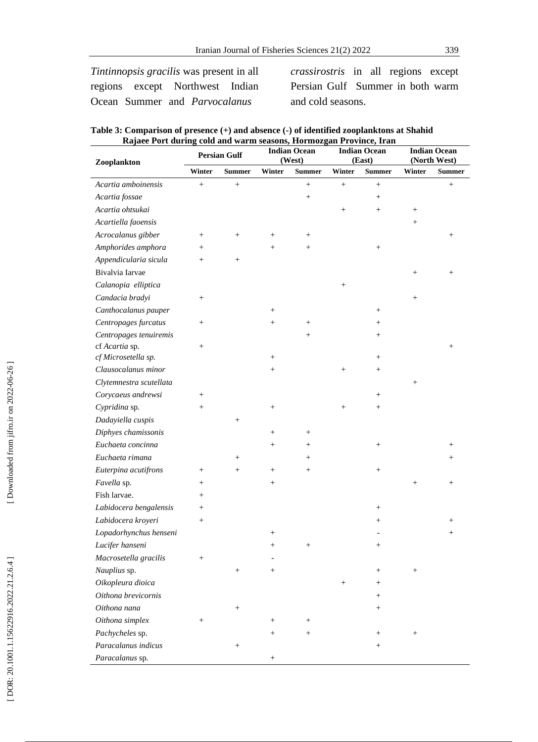*Tintinnopsis gracilis* was present in all regions except Northwest Indian Ocean Summer and *Parvocalanus*

*crassirostris* in all regions except Persian Gulf Summer in both warm and cold seasons.

| Table 3: Comparison of presence (+) and absence (-) of identified zooplanktons at Shahid |  |
|------------------------------------------------------------------------------------------|--|
| Rajaee Port during cold and warm seasons, Hormozgan Province, Iran                       |  |

| t i ort uurm<br>Zooplankton |           | <b>Persian Gulf</b> |                   | colu unu wurm beubonb, rrormozgan i rovmee, frun<br><b>Indian Ocean</b><br>(West) |                 | <b>Indian Ocean</b><br>(East) |                 | <b>Indian Ocean</b><br>(North West) |
|-----------------------------|-----------|---------------------|-------------------|-----------------------------------------------------------------------------------|-----------------|-------------------------------|-----------------|-------------------------------------|
|                             | Winter    | <b>Summer</b>       | Winter            | <b>Summer</b>                                                                     | Winter          | <b>Summer</b>                 | Winter          | <b>Summer</b>                       |
| Acartia amboinensis         | $\ddot{}$ | $^{+}$              |                   | $^{+}$                                                                            | $^{+}$          | $^{+}$                        |                 | $^{+}$                              |
| Acartia fossae              |           |                     |                   | $\! + \!\!\!\!$                                                                   |                 | $^{+}$                        |                 |                                     |
| Acartia ohtsukai            |           |                     |                   |                                                                                   | $\! + \!\!\!\!$ | $\! + \!\!\!\!$               | $\! + \!\!\!\!$ |                                     |
| Acartiella faoensis         |           |                     |                   |                                                                                   |                 |                               | $\! + \!\!\!\!$ |                                     |
| Acrocalanus gibber          | $^{+}$    | $^{+}$              | $^{+}$            | $^{+}$                                                                            |                 |                               |                 | $^{+}$                              |
| Amphorides amphora          | $^{+}$    |                     | $+$               | $^{+}$                                                                            |                 | $^{+}$                        |                 |                                     |
| Appendicularia sicula       | $^{+}$    | $^{+}$              |                   |                                                                                   |                 |                               |                 |                                     |
| Bivalvia Iarvae             |           |                     |                   |                                                                                   |                 |                               | $\! + \!\!\!\!$ | $^{+}$                              |
| Calanopia elliptica         |           |                     |                   |                                                                                   | $\! + \!\!\!\!$ |                               |                 |                                     |
| Candacia bradyi             | $^{+}$    |                     |                   |                                                                                   |                 |                               | $\! + \!\!\!\!$ |                                     |
| Canthocalanus pauper        |           |                     | $^{+}$            |                                                                                   |                 | $^{+}$                        |                 |                                     |
| Centropages furcatus        | $^{+}$    |                     | $^{+}$            | $^{+}$                                                                            |                 | $^+$                          |                 |                                     |
| Centropages tenuiremis      |           |                     |                   | $^{+}$                                                                            |                 | $^{+}$                        |                 |                                     |
| cf Acartia sp.              | $^{+}$    |                     |                   |                                                                                   |                 |                               |                 | $^{+}$                              |
| cf Microsetella sp.         |           |                     | $^{+}$            |                                                                                   |                 | $^{+}$                        |                 |                                     |
| Clausocalanus minor         |           |                     | $\! + \!\!\!\!$   |                                                                                   | $\! + \!\!\!\!$ | $\! + \!\!\!\!$               |                 |                                     |
| Clytemnestra scutellata     |           |                     |                   |                                                                                   |                 |                               | $\! + \!\!\!\!$ |                                     |
| Corycaeus andrewsi          | $^{+}$    |                     |                   |                                                                                   |                 | $^{+}$                        |                 |                                     |
| Cypridina sp.               | $^{+}$    |                     | $\! + \!\!\!\!$   |                                                                                   | $\! + \!\!\!\!$ | $\! + \!\!\!\!$               |                 |                                     |
| Dadayiella cuspis           |           | $\! + \!\!\!\!$     |                   |                                                                                   |                 |                               |                 |                                     |
| Diphyes chamissonis         |           |                     | $^{+}$            | $^{+}$                                                                            |                 |                               |                 |                                     |
| Euchaeta concinna           |           |                     | $\qquad \qquad +$ | $^{+}$                                                                            |                 | $^{+}$                        |                 | $^{+}$                              |
| Euchaeta rimana             |           | $^{+}$              |                   | $^{+}$                                                                            |                 |                               |                 | $^{+}$                              |
| Euterpina acutifrons        | $^{+}$    | $\! + \!\!\!\!$     | $\! + \!\!\!\!$   | $\! + \!\!\!\!$                                                                   |                 | $^{+}$                        |                 |                                     |
| Favella sp.                 | $^{+}$    |                     | $^{+}$            |                                                                                   |                 |                               | $\! + \!\!\!\!$ | $^{+}$                              |
| Fish larvae.                | $^{+}$    |                     |                   |                                                                                   |                 |                               |                 |                                     |
| Labidocera bengalensis      | $^{+}$    |                     |                   |                                                                                   |                 | $^{+}$                        |                 |                                     |
| Labidocera kroyeri          | $^{+}$    |                     |                   |                                                                                   |                 | $^{+}$                        |                 | $^+$                                |
| Lopadorhynchus henseni      |           |                     | $^{+}$            |                                                                                   |                 |                               |                 | $^{+}$                              |
| Lucifer hanseni             |           |                     |                   | $^+$                                                                              |                 |                               |                 |                                     |
| Macrosetella gracilis       | $^{+}$    |                     |                   |                                                                                   |                 |                               |                 |                                     |
| Nauplius sp.                |           | $\! + \!\!\!\!$     | $\qquad \qquad +$ |                                                                                   |                 | $\! + \!\!\!\!$               | $\! + \!\!\!\!$ |                                     |
| Oikopleura dioica           |           |                     |                   |                                                                                   | $^{+}$          | $^{+}$                        |                 |                                     |
| Oithona brevicornis         |           |                     |                   |                                                                                   |                 | $^{+}$                        |                 |                                     |
| Oithona nana                |           | $\! + \!\!\!\!$     |                   |                                                                                   |                 | $^{+}$                        |                 |                                     |
| Oithona simplex             | $^{+}$    |                     | $^{+}$            | $^{+}$                                                                            |                 |                               |                 |                                     |
| Pachycheles sp.             |           |                     | $^{+}$            | $^{+}$                                                                            |                 | $^{+}$                        | $\! + \!\!\!\!$ |                                     |
| Paracalanus indicus         |           | $\! + \!\!\!\!$     |                   |                                                                                   |                 | $\! + \!\!\!\!$               |                 |                                     |
| Paracalanus sp.             |           |                     | $\! +$            |                                                                                   |                 |                               |                 |                                     |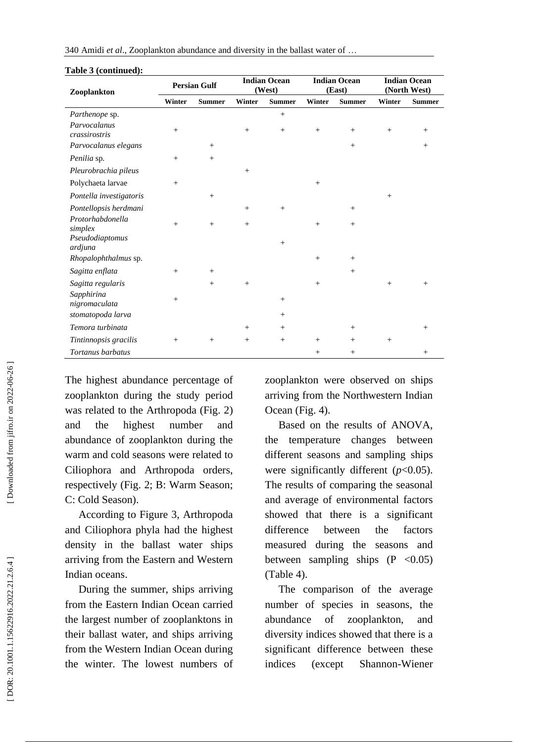| 340 Amidi et al., Zooplankton abundance and diversity in the ballast water of |  |  |
|-------------------------------------------------------------------------------|--|--|
|-------------------------------------------------------------------------------|--|--|

| $\boldsymbol{\mathsf{a}}$ and $\boldsymbol{\mathsf{c}}$ (communities)<br>Zooplankton | <b>Persian Gulf</b> |               | <b>Indian Ocean</b><br>(West) |               | <b>Indian Ocean</b><br>(East) |               | <b>Indian Ocean</b><br>(North West) |               |
|--------------------------------------------------------------------------------------|---------------------|---------------|-------------------------------|---------------|-------------------------------|---------------|-------------------------------------|---------------|
|                                                                                      | Winter              | <b>Summer</b> | Winter                        | <b>Summer</b> | Winter                        | <b>Summer</b> | Winter                              | <b>Summer</b> |
| Parthenope sp.                                                                       |                     |               |                               | $+$           |                               |               |                                     |               |
| Parvocalanus<br>crassirostris                                                        | $+$                 |               | $^{+}$                        | $+$           | $+$                           | $+$           | $^{+}$                              | $+$           |
| Parvocalanus elegans                                                                 |                     | $^{+}$        |                               |               |                               | $+$           |                                     | $+$           |
| Penilia sp.                                                                          | $+$                 | $+$           |                               |               |                               |               |                                     |               |
| Pleurobrachia pileus                                                                 |                     |               | $+$                           |               |                               |               |                                     |               |
| Polychaeta larvae                                                                    | $+$                 |               |                               |               | $+$                           |               |                                     |               |
| Pontella investigatoris                                                              |                     | $+$           |                               |               |                               |               | $+$                                 |               |
| Pontellopsis herdmani                                                                |                     |               | $+$                           | $+$           |                               | $+$           |                                     |               |
| Protorhabdonella<br>simplex                                                          | $+$                 | $+$           | $+$                           |               | $+$                           | $+$           |                                     |               |
| Pseudodiaptomus<br>ardjuna                                                           |                     |               |                               | $^{+}$        |                               |               |                                     |               |
| Rhopalophthalmus sp.                                                                 |                     |               |                               |               | $+$                           | $+$           |                                     |               |
| Sagitta enflata                                                                      | $+$                 | $+$           |                               |               |                               | $+$           |                                     |               |
| Sagitta regularis                                                                    |                     | $+$           | $+$                           |               | $+$                           |               | $+$                                 | $+$           |
| Sapphirina<br>nigromaculata                                                          | $+$                 |               |                               | $^{+}$        |                               |               |                                     |               |
| stomatopoda larva                                                                    |                     |               |                               | $+$           |                               |               |                                     |               |
| Temora turbinata                                                                     |                     |               | $+$                           | $+$           |                               | $+$           |                                     | $+$           |
| Tintinnopsis gracilis                                                                | $+$                 | $+$           | $+$                           | $+$           | $+$                           | $+$           | $+$                                 |               |
| Tortanus barbatus                                                                    |                     |               |                               |               | $+$                           | $+$           |                                     | $+$           |

#### **Table 3 (continued):**

The highest abundance percentage of zooplankton during the study period was related to the Arthropoda (Fig . 2) and the highest number and abundance of zooplankton during the warm and cold seasons were related to Ciliophora and Arthropoda orders, respectively (Fig. 2; B: Warm Season; C: Cold Season).

 According to Figure 3, Arthropoda and Ciliophora phyla had the highest density in the ballast water ships arriving from the Eastern and Western Indian oceans .

 During the summer, ships arriving from the Eastern Indian Ocean carried the largest number of zooplanktons in their ballast water, and ships arriving from the Western Indian Ocean during the winter. The lowest numbers of zooplankton were observed on ships arriving from the Northwestern Indian Ocean (Fig. 4).

 Based on the results of ANOVA, the temperature changes between different seasons and sampling ships were significantly different (*p*<0.05). The results of comparing the seasonal and average of environmental factors showed that there is a significant difference between the factors measured during the seasons and between sampling ships  $(P \le 0.05)$ (Table 4).

The comparison of the average number of species in seasons, the abundance of zooplankton, and diversity indices showed that there is a significant difference between these indices (except Shannon -Wiener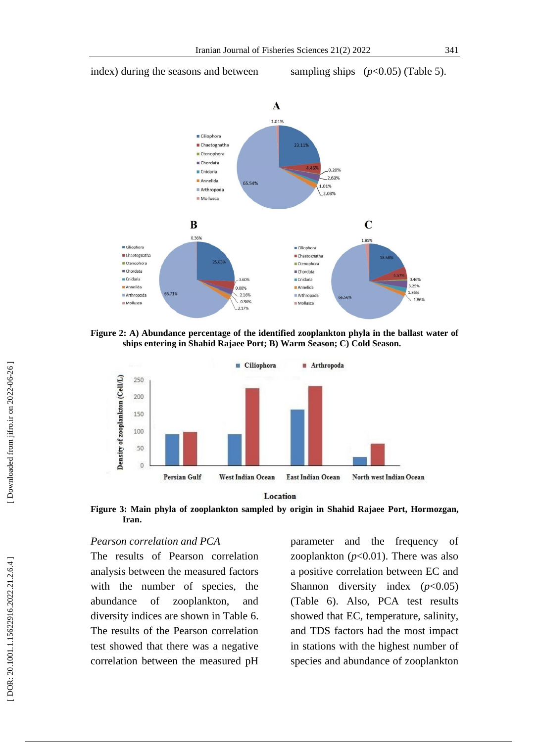# index) during the seasons and between

sampling ships  $(p<0.05)$  (Table 5).



**Figure 2: A ) Abundance percentage of the identified zooplankton phyla in the ballast water of ships entering in Shahid Rajaee Port ; B ) Warm Season; C ) Cold Season .**



Location

Figure 3: Main phyla of zooplankton sampled by origin in Shahid Rajaee Port, Hormozgan, **Iran.**

# *Pearson correlation and PCA*

The results of Pearson correlation analysis between the measured factors with the number of species, the abundance of zooplankton, and diversity indices are shown in Table 6. The results of the Pearson correlation test showed that there was a negative correlation between the measured pH

parameter and the frequency of zooplankton  $(p<0.01)$ . There was also a positive correlation between EC and Shannon diversity index (*p*<0.05) (Table 6). Also, PCA test results showed that EC, temperature, salinity, and TDS factors had the most impact in stations with the highest number of species and abundance of zooplankton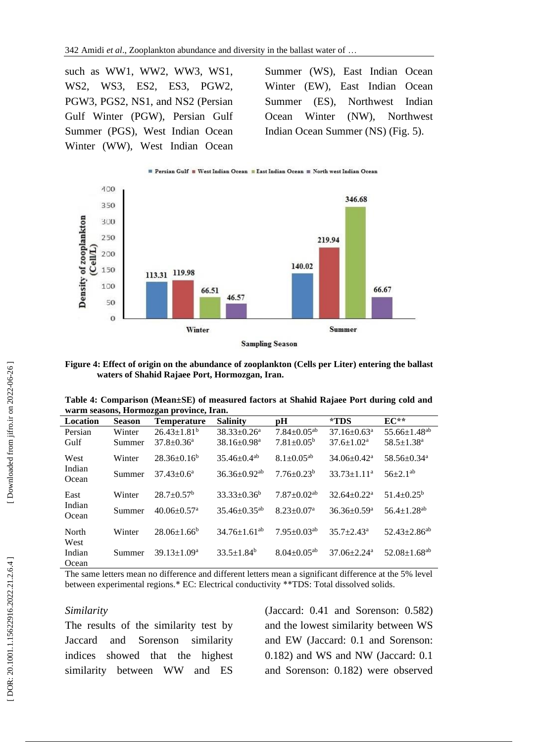such as WW1, WW2, WW3, WS1, WS2, WS3, ES2, ES3, PGW2, PGW3, PGS2, NS1, and NS2 (Persian Gulf Winter (PGW), Persian Gulf Summer (PGS), West Indian Ocean Winter (WW), West Indian Ocean Summer (WS), East Indian Ocean Winter (EW), East Indian Ocean Summer (ES), Northwest Indian Ocean Winter (NW), Northwest Indian Ocean Summer (NS) (Fig. 5).



**Figure 4: Effect of origin on the abundance of zooplankton (Cells per Liter) entering the ballast waters of Shahid Rajaee Port, Hormozgan, Iran.**

| Table 4: Comparison (Mean±SE) of measured factors at Shahid Rajaee Port during cold and |  |  |  |  |  |
|-----------------------------------------------------------------------------------------|--|--|--|--|--|
| warm seasons, Hormozgan province, Iran.                                                 |  |  |  |  |  |

| warm seasons, riormozgan province, fram |               |                               |                                |                               |                               |                                |  |  |  |
|-----------------------------------------|---------------|-------------------------------|--------------------------------|-------------------------------|-------------------------------|--------------------------------|--|--|--|
| Location                                | <b>Season</b> | <b>Temperature</b>            | <b>Salinity</b>                | рH                            | *TDS                          | $EC**$                         |  |  |  |
| Persian                                 | Winter        | $26.43 \pm 1.81^b$            | $38.33 \pm 0.26^a$             | $7.84 \pm 0.05^{ab}$          | $37.16 \pm 0.63$ <sup>a</sup> | $55.66 \pm 1.48$ <sup>ab</sup> |  |  |  |
| Gulf                                    | Summer        | $37.8 \pm 0.36$ <sup>a</sup>  | $38.16 \pm 0.98$ <sup>a</sup>  | $7.81 \pm 0.05^{\rm b}$       | $37.6 \pm 1.02^a$             | $58.5 \pm 1.38$ <sup>a</sup>   |  |  |  |
| West                                    | Winter        | $28.36\pm0.16^b$              | $35.46 \pm 0.4$ <sup>ab</sup>  | $8.1 \pm 0.05^{ab}$           | $34.06 \pm 0.42^{\text{a}}$   | $58.56 \pm 0.34$ <sup>a</sup>  |  |  |  |
| Indian<br>Ocean                         | Summer        | $37.43 \pm 0.6^a$             | $36.36 \pm 0.92$ <sup>ab</sup> | $7.76 + 0.23^b$               | $33.73 \pm 1.11^a$            | $56 \pm 2.1^{ab}$              |  |  |  |
| East                                    | Winter        | $28.7 \pm 0.57^{\rm b}$       | $33.33+0.36^b$                 | $7.87 \pm 0.02$ <sup>ab</sup> | $32.64 \pm 0.22^a$            | $51.4 + 0.25^b$                |  |  |  |
| Indian<br>Ocean                         | Summer        | $40.06 \pm 0.57$ <sup>a</sup> | $35.46 + 0.35^{ab}$            | $8.23 \pm 0.07$ <sup>a</sup>  | $36.36 \pm 0.59$ <sup>a</sup> | $56.4 + 1.28$ <sup>ab</sup>    |  |  |  |
| North<br>West                           | Winter        | $28.06 \pm 1.66^b$            | $34.76 + 1.61^{ab}$            | $7.95 \pm 0.03^{ab}$          | $35.7 + 2.43^a$               | $52.43 + 2.86^{ab}$            |  |  |  |
| Indian<br>Ocean                         | Summer        | $39.13 \pm 1.09^a$            | $33.5 \pm 1.84^b$              | $8.04 \pm 0.05$ <sup>ab</sup> | $37.06 \pm 2.24$ <sup>a</sup> | $52.08 \pm 1.68$ <sup>ab</sup> |  |  |  |

The same letters mean no difference and different letters mean a significant difference at the 5% level between experimental regions.\* EC: Electrical conductivity \*\*TDS: Total dissolved solids.

# *Similarity*

The results of the similarity test by Jaccard and Sorenson similarity indices showed that the highest similarity between WW and ES (Jaccard: 0.41 and Sorenson: 0.582) and the lowest similarity between WS and EW (Jaccard: 0.1 and Sorenson: 0.182) and WS and NW (Jaccard: 0.1 and Sorenson: 0.182) were observed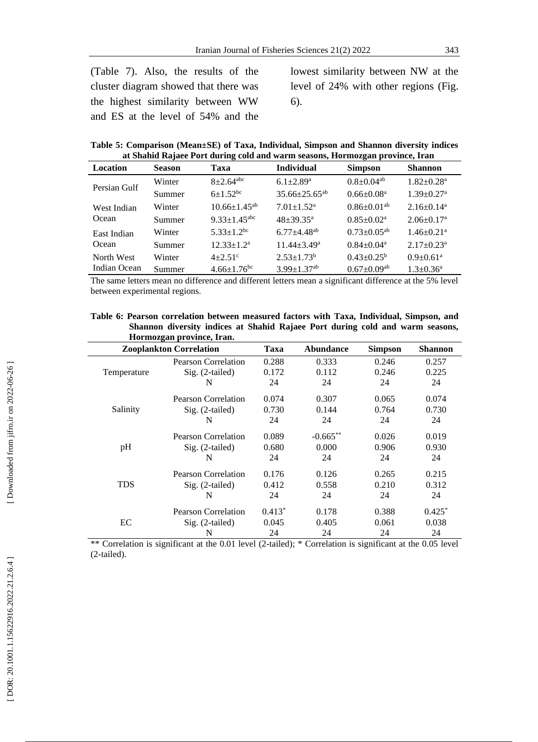(Table 7). Also, the results of the cluster diagram showed that there was the highest similarity between WW and ES at the level of 54% and the

lowest similarity between NW at the level of 24% with other regions (Fig. 6).

**Table 5: Comparison (Mean±SE) of Taxa, Individual, Simpson and Shannon diversity indices at Shahid Rajaee Port during cold and warm seasons, Hormozgan province, Iran**

| Location     | <b>Season</b> | Taxa                          | <b>Individual</b>             | <b>Simpson</b>                | <b>Shannon</b>               |
|--------------|---------------|-------------------------------|-------------------------------|-------------------------------|------------------------------|
| Persian Gulf | Winter        | $8 + 2.64$ <sup>abc</sup>     | $6.1 + 2.89$ <sup>a</sup>     | $0.8 \pm 0.04$ <sup>ab</sup>  | $1.82 \pm 0.28$ <sup>a</sup> |
|              | Summer        | $6+1.52$ <sup>bc</sup>        | $35.66 \pm 25.65^{ab}$        | $0.66 \pm 0.08^a$             | $1.39 \pm 0.27$ <sup>a</sup> |
| West Indian  | Winter        | $10.66 \pm 1.45^{ab}$         | $7.01 \pm 1.52$ <sup>a</sup>  | $0.86 \pm 0.01$ <sup>ab</sup> | $2.16\pm0.14^a$              |
| Ocean        | Summer        | $9.33 + 1.45$ <sup>abc</sup>  | $48 + 39.35^{\text{a}}$       | $0.85 \pm 0.02^a$             | $2.06 \pm 0.17$ <sup>a</sup> |
| East Indian  | Winter        | $5.33 \pm 1.2$ <sup>bc</sup>  | $6.77 + 4.48$ <sup>ab</sup>   | $0.73 \pm 0.05^{ab}$          | $1.46 \pm 0.21$ <sup>a</sup> |
| Ocean        | Summer        | $12.33 \pm 1.2^a$             | $11.44 + 3.49^a$              | $0.84 \pm 0.04$ <sup>a</sup>  | $2.17 \pm 0.23$ <sup>a</sup> |
| North West   | Winter        | $4 + 2.51$ °                  | $2.53 + 1.73^b$               | $0.43 \pm 0.25^b$             | $0.9+0.61^a$                 |
| Indian Ocean | Summer        | $4.66 \pm 1.76$ <sup>bc</sup> | $3.99 \pm 1.37$ <sup>ab</sup> | $0.67 \pm 0.09$ <sup>ab</sup> | $1.3 \pm 0.36^a$             |

The same letters mean no difference and different letters mean a significant difference at the 5% level between experimental regions.

**Table 6: Pearson correlation between measured factors with Taxa, Individual, Simpson, and Shannon diversity indices at Shahid Rajaee Port during cold and warm seasons, Hormozgan province, Iran .**

|             | - <b>-</b> - - - - - - , .<br><b>Zooplankton Correlation</b> | Taxa     | <b>Abundance</b> | <b>Simpson</b> | <b>Shannon</b> |
|-------------|--------------------------------------------------------------|----------|------------------|----------------|----------------|
|             | Pearson Correlation                                          | 0.288    | 0.333            | 0.246          | 0.257          |
| Temperature | $Sig. (2-tailed)$                                            | 0.172    | 0.112            | 0.246          | 0.225          |
|             | N                                                            | 24       | 24               | 24             | 24             |
|             | Pearson Correlation                                          | 0.074    | 0.307            | 0.065          | 0.074          |
| Salinity    | $Sig. (2-tailed)$                                            | 0.730    | 0.144            | 0.764          | 0.730          |
|             | N                                                            | 24       | 24               | 24             | 24             |
|             | Pearson Correlation                                          | 0.089    | $-0.665**$       | 0.026          | 0.019          |
| pH          | Sig. (2-tailed)                                              | 0.680    | 0.000            | 0.906          | 0.930          |
|             | N                                                            | 24       | 24               | 24             | 24             |
|             | <b>Pearson Correlation</b>                                   | 0.176    | 0.126            | 0.265          | 0.215          |
| <b>TDS</b>  | $Sig. (2-tailed)$                                            | 0.412    | 0.558            | 0.210          | 0.312          |
|             | N                                                            | 24       | 24               | 24             | 24             |
|             | <b>Pearson Correlation</b>                                   | $0.413*$ | 0.178            | 0.388          | $0.425*$       |
| EС          | $Sig. (2-tailed)$                                            | 0.045    | 0.405            | 0.061          | 0.038          |
|             | N                                                            | 24       | 24               | 24             | 24             |

\*\* Correlation is significant at the 0.01 level (2 -tailed); \* Correlation is significant at the 0.05 level (2 -tailed).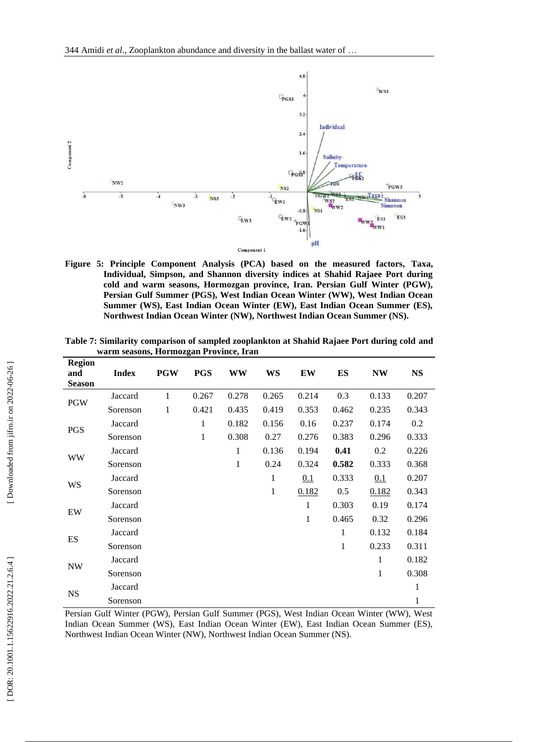

**Figure 5: Principle Component Analysis (PCA) based on the measured factors, Taxa, Individual, Simpson, and Shannon diversity indices at Shahid Rajaee Port during cold and warm seasons, Hormozgan province, Iran. Persian Gulf Winter (PGW), Persian Gulf Summer (PGS), West Indian Ocean Winter (WW), West Indian Ocean Summer (WS), East Indian Ocean Winter (EW), East Indian Ocean Summer (ES), Northwest Indian Ocean Winter (NW), Northwest Indian Ocean Summer (NS).**

| warm seasons, Hormozgan Province, Iran |              |              |              |           |              |       |              |           |       |
|----------------------------------------|--------------|--------------|--------------|-----------|--------------|-------|--------------|-----------|-------|
| <b>Region</b><br>and<br><b>Season</b>  | <b>Index</b> | <b>PGW</b>   | <b>PGS</b>   | <b>WW</b> | WS           | EW    | <b>ES</b>    | <b>NW</b> | NS    |
| <b>PGW</b>                             | Jaccard      | $\mathbf{1}$ | 0.267        | 0.278     | 0.265        | 0.214 | 0.3          | 0.133     | 0.207 |
|                                        | Sorenson     | 1            | 0.421        | 0.435     | 0.419        | 0.353 | 0.462        | 0.235     | 0.343 |
| <b>PGS</b>                             | Jaccard      |              | $\mathbf{1}$ | 0.182     | 0.156        | 0.16  | 0.237        | 0.174     | 0.2   |
|                                        | Sorenson     |              | 1            | 0.308     | 0.27         | 0.276 | 0.383        | 0.296     | 0.333 |
| WW                                     | Jaccard      |              |              | 1         | 0.136        | 0.194 | 0.41         | 0.2       | 0.226 |
|                                        | Sorenson     |              |              | 1         | 0.24         | 0.324 | 0.582        | 0.333     | 0.368 |
| WS                                     | Jaccard      |              |              |           | $\mathbf{1}$ | 0.1   | 0.333        | 0.1       | 0.207 |
|                                        | Sorenson     |              |              |           | $\mathbf{1}$ | 0.182 | 0.5          | 0.182     | 0.343 |
| EW                                     | Jaccard      |              |              |           |              | 1     | 0.303        | 0.19      | 0.174 |
|                                        | Sorenson     |              |              |           |              | 1     | 0.465        | 0.32      | 0.296 |
| ES                                     | Jaccard      |              |              |           |              |       | 1            | 0.132     | 0.184 |
|                                        | Sorenson     |              |              |           |              |       | $\mathbf{1}$ | 0.233     | 0.311 |
| <b>NW</b>                              | Jaccard      |              |              |           |              |       |              | 1         | 0.182 |
|                                        | Sorenson     |              |              |           |              |       |              | 1         | 0.308 |
| <b>NS</b>                              | Jaccard      |              |              |           |              |       |              |           | 1     |
|                                        | Sorenson     |              |              |           |              |       |              |           | 1     |

**Table 7: Similarity comparison of sampled zooplankton at Shahid Rajaee Port during cold and warm seasons, Hormozgan Province, Iran**

Persian Gulf Winter (PGW), Persian Gulf Summer (PGS), West Indian Ocean Winter (WW), West Indian Ocean Summer (WS), East Indian Ocean Winter (EW), East Indian Ocean Summer (ES), Northwest Indian Ocean Winter (NW), Northwest Indian Ocean Summer (NS).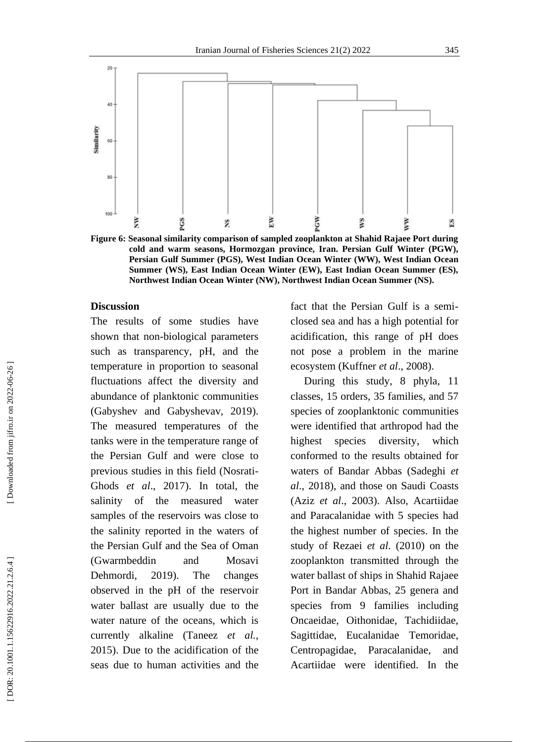

**Figure 6: Seasonal similarity comparison of sampled zooplankton at Shahid Rajaee Port during cold and warm seasons, Hormozgan province, Iran. Persian Gulf Winter (PGW), Persian Gulf Summer (PGS), West Indian Ocean Winter (WW), West Indian Ocean Summer (WS), East Indian Ocean Winter (EW), East Indian Ocean Summer (ES), Northwest Indian Ocean Winter (NW), Northwest Indian Ocean Summer (NS).**

#### **Discussion**

The results of some studies have shown that non -biological parameters such as transparency, pH, and the temperature in proportion to seasonal fluctuations affect the diversity and abundance of planktonic communities (Gabyshev and Gabyshevav, 2019). The measured temperatures of the tanks were in the temperature range of the Persian Gulf and were close to previous studies in this field (Nosrati - Ghods *et al*., 2017). In total, the salinity of the measured water samples of the reservoirs was close to the salinity reported in the waters of the Persian Gulf and the Sea of Oman (Gwarmbeddin and Mosavi Dehmordi, 2019). The changes observed in the pH of the reservoir water ballast are usually due to the water nature of the oceans, which is currently alkaline (Taneez *et al.,* 2015). Due to the acidification of the seas due to human activities and the

fact that the Persian Gulf is a semi closed sea and has a high potential for acidification, this range of pH does not pose a problem in the marine ecosystem (Kuffner *et al*., 2008).

 During this study, 8 phyla, 11 classes, 15 orders, 35 families, and 57 species of zooplanktonic communities were identified that arthropod had the highest species diversity, which conformed to the results obtained for waters of Bandar Abbas (Sadeghi *et al*., 2018), and those on Saudi Coasts (Aziz *et al*., 2003). Also, Acartiidae and Paracalanidae with 5 species had the highest number of species. In the study of Rezaei *et al*. (2010) on the zooplankton transmitted through the water ballast of ships in Shahid Rajae e Port in Bandar Abbas, 25 genera and species from 9 families including Oncaeidae, Oithonidae, Tachidiidae, Sagittidae, Eucalanidae Temoridae, Centropagidae, Paracalanidae, and Acartiidae were identified. In the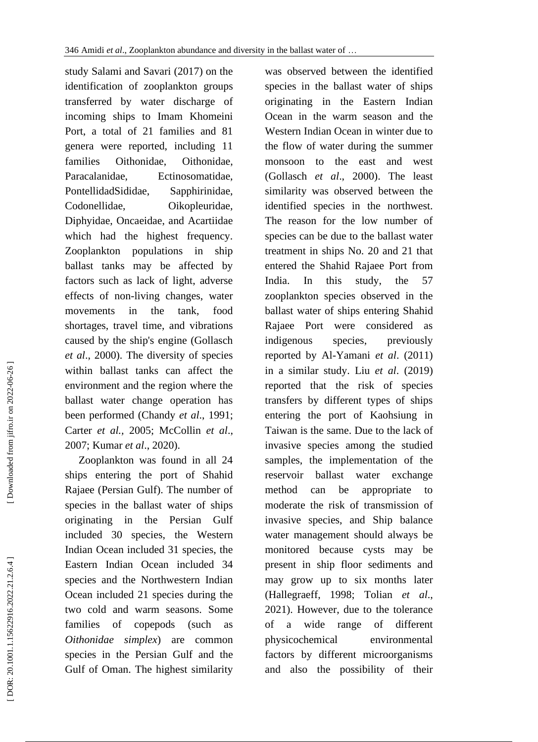study Salami and Savari (2017) on the identification of zooplankton groups transferred by water discharge of incoming ships to Imam Khomeini Port, a total of 21 families and 81 genera were reported, including 11 families Oithonidae, Oithonidae, Paracalanidae, Ectinosomatidae, PontellidadSididae, Sapphirinidae, Codonellidae, Oikopleuridae, Diphyidae, Oncaeidae, and Acartiidae which had the highest frequency. Zooplankton populations in ship ballast tanks may be affected by factors such as lack of light, adverse effects of non -living changes, water movements in the tank, food shortages, travel time, and vibrations caused by the ship's engine (Gollasch *et al*., 2000). The diversity of species within ballast tanks can affect the environment and the region where the ballast water change operation has been performed (Chandy *et a l*., 1991; Carter *et al.,* 2005; McCollin *et al*., 2007; Kumar *et al*., 2020) .

 Zooplankton was found in all 24 ships entering the port of Shahid Rajaee (Persian Gulf). The number of species in the ballast water of ships originating in the Persian Gulf included 30 species, the Western Indian Ocean included 31 species, the Eastern Indian Ocean included 34 species and the Northwestern Indian Ocean included 21 species during the two cold and warm seasons. Some families of copepods (such as *Oithonidae simplex* ) are common species in the Persian Gulf and the Gulf of Oman. The highest similarity

was observed between the identified species in the ballast water of ships originating in the Eastern Indian Ocean in the warm season and the Western Indian Ocean in winter due to the flow of water during the summer monsoon to the east and west (Gollasch *et al*., 2000). The least similarity was observed between the identified species in the northwest. The reason for the low number of species can be due to the ballast water treatment in ships No. 20 and 21 that entered the Shahid Rajaee Port from India. In this study, the 57 zooplankton species observed in the ballast water of ships entering Shahid Rajaee Port were considered as indigenous species, previously reported by Al -Yamani *et al*. (2011) in a similar study. Liu *et al*. (2019) reported that the risk of species transfers by different types of ships entering the port of Kaohsiung in Taiwan is the same. Due to the lack of invasive species among the studied samples, the implementation of the reservoir ballast water exchange method can be appropriate to moderate the risk of transmission of invasive species, and Ship balance water management should always be monitored because cysts may be present in ship floor sediments and may grow up to six months later (Hallegraeff, 1998; Tolian *et al*., 2021). However, due to the tolerance of a wide range of different physicochemical environmental factors by different microorganisms and also the possibility of their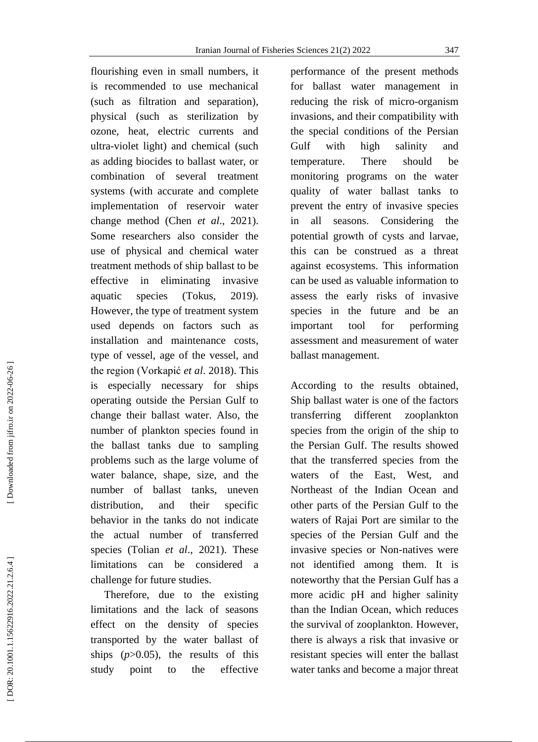flourishing even in small numbers, it is recommended to use mechanical (such as filtration and separation) , physical (such as sterilization by ozone, heat, electric currents and ultra -violet light) and chemical (such as adding biocides to ballast water, or combination of several treatment systems (with accurate and complete implementation of reservoir water change method (Chen *et al*., 2021). Some researchers also consider the use of physical and chemical water treatment methods of ship ballast to be effective in eliminating invasive aquatic species (Tokus, 2019). However, the type of treatment system used depends on factors such as installation and maintenance costs, type of vessel, age of the vessel, and the region (Vorkapić *et al*. 2018). This is especially necessary for ships operating outside the Persian Gulf to change their ballast water. Also, the number of plankton species found in the ballast tanks due to sampling problems such as the large volume of water balance, shape, size, and the number of ballast tanks, uneven distribution, and their specific behavior in the tanks do not indicate the actual number of transferred species (Tolian *et al*., 2021). These limitations can be considered a challenge for future studies.

 Therefore, due to the existing limitations and the lack of seasons effect on the density of species transported by the water ballast of ships  $(p>0.05)$ , the results of this study point to the effective

performance of the present methods for ballast water management in reducing the risk of micro -organism invasions, and their compatibility with the special conditions of the Persian Gulf with high salinity and temperature. There should be monitoring programs on the water quality of water ballast tanks to prevent the entry of invasive species in all seasons . Considering the potential growth of cysts and larvae, this can be construed as a threat against ecosystems. This information can be used as valuable information to assess the early risks of invasive species in the future and be an important tool for performing assessment and measurement of water ballast management .

According to the results obtained , Ship ballast water is one of the factors transferring different zooplankton species from the origin of the ship to the Persian Gulf . The results showed that the transferred species from the waters of the East, West , and Northeast of the Indian Ocean and other parts of the Persian Gulf to the waters of Rajai Port are similar to the species of the Persian Gulf and the invasive species or Non -natives were not identified among them. It is noteworthy that the Persian Gulf has a more acidic pH and higher salinity than the Indian Ocean, which reduces the survival of zooplankton. However, there is always a risk that invasive or resistant species will enter the ballast water tanks and become a major threat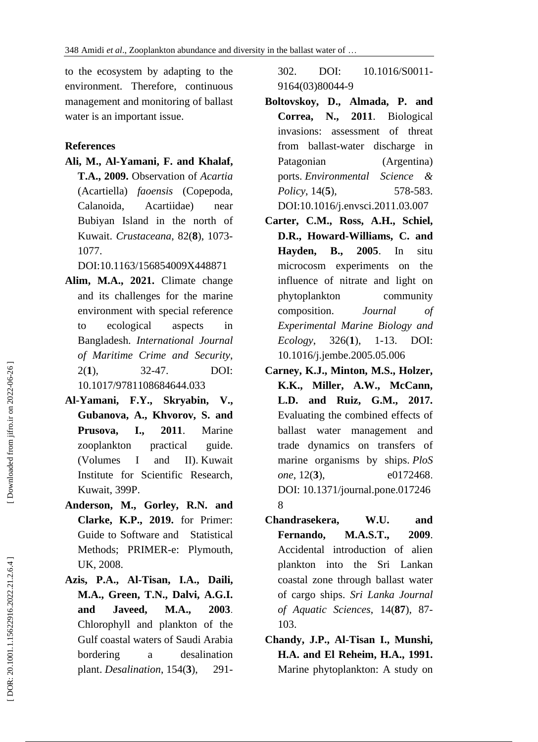to the ecosystem by adapting to the environment. Therefore, continuous management and monitoring of ballast water is an important issue.

# **References**

- **Ali, M., Al -Yamani, F. and Khalaf,**
- **T.A., 2009.** Observation of *Acartia* (Acartiella) *faoensis* (Copepoda, Calanoida, Acartiidae) near Bubiyan Island in the north of Kuwait. *Crustaceana*, 82( **8**), 1073 - 1077.

DOI[:10.1163/156854009X448871](http://dx.doi.org/10.1163/156854009X448871)

- **Alim, M.A., 2021.** Climate change and its challenges for the marine environment with special reference to ecological aspects in Bangladesh. *International Journal of Maritime Crime and Security*,  $2(1)$ . **1**), 32 DOI: 10.1017/9781108684644.033
- **Al -Yamani, F.Y., Skryabin, V., Gubanova, A., Khvorov, S. and Prusova, I., 2011**. Marine zooplankton practical guide. (Volumes I and II). Kuwait Institute for Scientific Research, Kuwait, 399P.
- **Anderson, M., Gorley, R.N. and Clarke, K.P., 2019.** for Primer: Guide to Software and Statistical Methods; PRIMER -e: Plymouth, UK, 2008.
- **Azis, P.A., Al -Tisan, I.A., Daili, M.A., Green, T.N., Dalvi, A.G.I. and Javeed, M.A., 2003**. Chlorophyll and plankton of the Gulf coastal waters of Saudi Arabia bordering a desalination plant. *Desalination* , 154( **3**), 291 -

302. DOI: 10.1016/S0011 - 9164(03)80044 - 9

- **Boltovskoy, D., Almada, P. and Correa, N., 2011**. Biological invasions: assessment of threat from ballast -water discharge in Patagonian (Argentina) ports. *Environmental Science & Policy* , 14 ( **5**), 578 -583. DOI[:10.1016/j.envsci.2011.03.007](http://dx.doi.org/10.1016/j.envsci.2011.03.007)
- **Carter, C.M., Ross, A.H., Schiel, D.R., Howard -Williams, C. and Hayden, B., 2005**. In situ microcosm experiments on the influence of nitrate and light on phytoplankton community composition. *Journal of Experimental Marine Biology and*   $Ecology$ ,  $326(1)$ , 1-13. -13. DOI: 10.1016/j.jembe.2005.05.006
- **Carney, K.J., Minton, M.S., Holzer, K.K., Miller, A.W., McCann, L.D. and Ruiz, G.M., 2017.** Evaluating the combined effects of ballast water management and trade dynamics on transfers of marine organisms by ships. *PloS one* , 12( **3**), e0172468 . DOI: [10.1371/journal.pone.017246](https://doi.org/10.1371/journal.pone.0172468) [8](https://doi.org/10.1371/journal.pone.0172468)
- **Chandrasekera, W.U. and Fernando, M.A.S.T., 2009**. Accidental introduction of alien plankton into the Sri Lankan coastal zone through ballast water of cargo ships. *Sri Lanka Journal of Aquatic Sciences*, 14(**87**), 87 - 103.
- **Chandy, J.P., Al -Tisan I., Munshi, H.A. and El Reheim, H.A., 1991.** Marine phytoplankton: A study on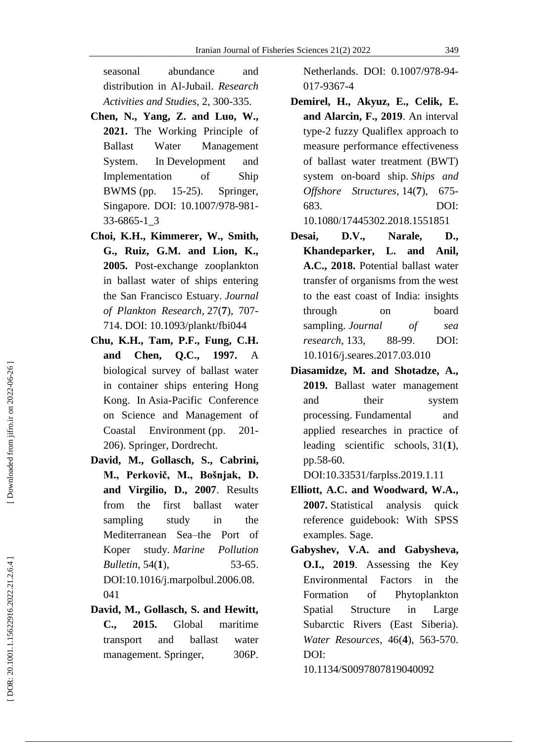seasonal abundance and distribution in Al -Jubail. *Research Activities and Studies*, 2, 300 -335.

- **Chen, N., Yang, Z. and Luo, W., 2021.** The Working Principle of Ballast Water Management System. In Development and Implementation of Ship BWMS (pp. 15 Springer, Singapore. DOI: 10.1007/978 -981 - 33 -6865 -1\_3
- **Choi, K.H., Kimmerer, W., Smith, G., Ruiz, G.M. and Lion, K., 2005.** Post -exchange zooplankton in ballast water of ships entering the San Francisco Estuary. *Journal of Plankton Research* , 27( **7**), 707 - 714. DOI: 10.1093/plankt/fbi044
- **Chu, K.H., Tam, P.F., Fung, C.H. and Chen, Q.C., 1997.** A biological survey of ballast water in container ships entering Hong Kong. In Asia -Pacific Conference on Science and Management of Coastal Environment (pp.  $201 -$ 206). Springer, Dordrecht.
- **David, M., Gollasch, S., Cabrini, M., Perkovič, M., Bošnjak, D. and Virgilio, D., 2007**. Results from the first ballast water sampling study in the Mediterranean Sea–the Port of Koper *. Marine Pollution Bulletin*, 54(1), 53  $53 - 65.$ DOI:10.1016/j.marpolbul.2006.08. 041
- **David, M., Gollasch, S. and Hewitt, C., 2015.** Global maritime transport and ballast water management. Springer, 306P.

Netherlands. DOI: 0.1007/978 -94 - 017 -9367 - 4

- **Demirel, H., Akyuz, E., Celik, E. and Alarcin, F., 2019**. An interval type -2 fuzzy Qualiflex approach to measure performance effectiveness of ballast water treatment (BWT) system on -board ship. *Ships and Offshore Structures* , 14( **7**), 675 - 683. DOI:
	- 10.1080/17445302.2018.1551851
- **Desai, D.V., Narale, D., Khandeparker, L. and Anil, A.C., 2018.** Potential ballast water transfer of organisms from the west to the east coast of India: insights through on board sampling. *Journal of sea research* , 133, 88 88-99. . DOI: 10.1016/j.seares.2017.03.010
- **Diasamidze, M. and Shotadze, A., 2019.** Ballast water management and their system processing. Fundamental and applied researches in practice of leading scientific schools, 31( **1**), pp.58-60.

DOI:10.33531/farplss.2019.1.11

- **Elliott, A.C. and Woodward, W.A. , 2007.** Statistical analysis quick reference guidebook: With SPSS examples. Sage.
- **Gabyshev, V.A. and Gabysheva, O.I., 2019**. Assessing the Key Environmental Factors in the Formation of Phytoplankton Spatial Structure in Large Subarctic Rivers (East Siberia). Water Resources, 46(4), 563-570. DOI:

10.1134/S0097807819040092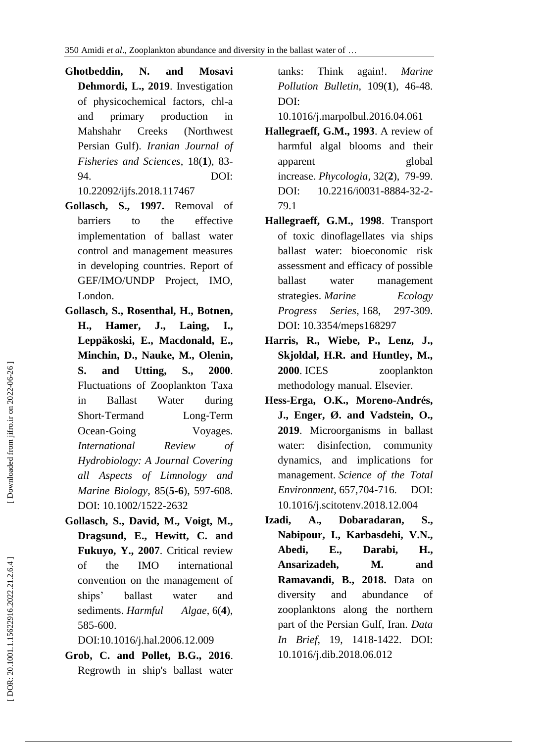- **Ghotbeddin, N. and Mosavi Dehmordi, L., 2019**. Investigation of physicochemical factors, chl -a and primary production in Mahshahr Creeks (Northwest Persian Gulf). *Iranian Journal of Fisheries and Sciences*, 18( **1** ) , 83 - 94. DOI:
	- 10.22092/ijfs.2018.117467
- **Gollasch, S., 1997 .** Removal of barriers to the effective implementation of ballast water control and management measures in developing countries. Report of GEF/IMO/UNDP Project, IMO, London.
- **Gollasch, S., Rosenthal, H., Botnen, H., Hamer, J., Laing, I., Leppäkoski, E., Macdonald, E., Minchin, D., Nauke, M., Olenin, S. and Utting, S., 2000**. Fluctuations of Zooplankton Taxa in Ballast Water during Short ‐Termand Long Long-Term Ocean-Going Voyages. *International Review of Hydrobiology: A Journal Covering all Aspects of Limnology and Marine Biology*, 85( **5** ‐ **6**), 597 -608. DOI: 10.1002/1522 -2632
- **Gollasch, S., David, M., Voigt, M., Dragsund, E., Hewitt, C. and Fukuyo, Y., 2007**. Critical review of the IMO international convention on the management of ships' ballast water and sediments. *Harmful* , 6( **4**), 585 -600.

DOI:10.1016/j.hal.2006.12.009

**Grob, C. and Pollet, B.G., 2016**. Regrowth in ship's ballast water tanks: Think again!. *Marine Pollution Bulletin*, 109( **1**), 46 -48. [DOI:](https://doi.org/10.1016/j.marpolbul.2016.04.061) 

[10.1016/j.marpolbul.2016.04.061](https://doi.org/10.1016/j.marpolbul.2016.04.061)

- **Hallegraeff, G.M., 1993**. A review of harmful algal blooms and their apparent global increase. *Phycologia* , 32( **2**), 79 -99. DOI: [10.2216/i0031](http://dx.doi.org/10.2216/i0031-8884-32-2-79.1)-8884-32-2-[79.1](http://dx.doi.org/10.2216/i0031-8884-32-2-79.1)
- **Hallegraeff, G.M., 1998**. Transport of toxic dinoflagellates via ships ballast water: bioeconomic risk assessment and efficacy of possible ballast water management strategies. *Marine Ecology Progress* Series, 168, 297-309. DOI: 10.3354/meps168297
- **Harris, R., Wiebe, P., Lenz, J., Skjoldal, H.R. and Huntley, M., 2000** zooplankton methodology manual. Elsevier.
- **Hess -Erga, O.K., Moreno -Andrés, J., Enger, Ø. and Vadstein, O., 2019**. Microorganisms in ballast water: disinfection, community dynamics, and implications for management. *Science of the Total Environment* , 657,704 - 716 . [DOI:](https://doi.org/10.1016/j.scitotenv.2018.12.004)  [10.1016/j.scitotenv.2018.12.004](https://doi.org/10.1016/j.scitotenv.2018.12.004)
- **Izadi, A., Dobaradaran, S., Nabipour, I., Karbasdehi, V.N., Abedi, E., Darabi, H., Ansarizadeh, M. and Ramavandi, B., 2018.** Data on diversity and abundance of zooplanktons along the northern part of the Persian Gulf, Iran. *Data In Brief*, 19, 1418 -1422. [DOI:](https://doi.org/10.1016/j.dib.2018.06.012)  [10.1016/j.dib.2018.06.012](https://doi.org/10.1016/j.dib.2018.06.012)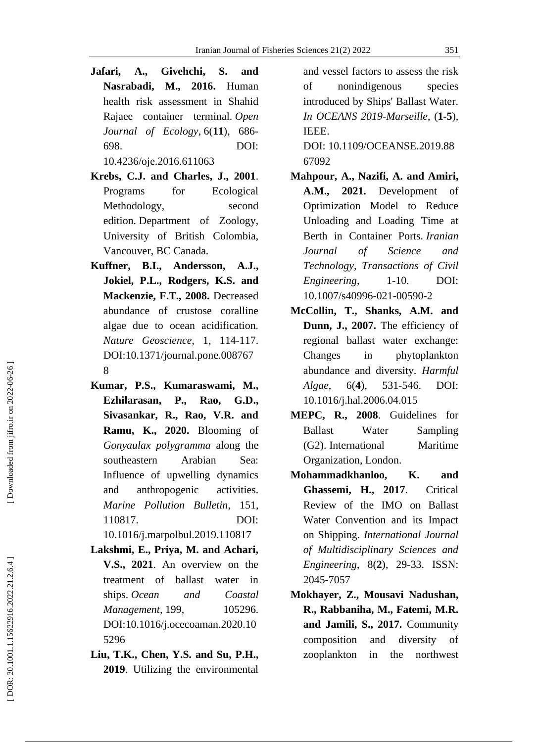- **Jafari, A., Givehchi, S. and Nasrabadi, M., 2016.** Human health risk assessment in Shahid Rajaee container terminal. *Open Journal of Ecology*, 6(11), 686-698. DOI: [10.4236/oje.2016.611063](http://dx.doi.org/10.4236/oje.2016.611063)
- **Krebs, C.J. and Charles, J., 2001**. Programs for Ecological Methodology, second edition. Department of Zoology, University of British Colombia, Vancouver, BC Canada.
- **Kuffner, B.I., Andersson, A.J., Jokiel, P.L., Rodgers, K.S. and Mackenzie, F.T., 2008.** Decreased abundance of crustose coralline algae due to ocean acidification. *Nature Geoscience*, 1, 114 -117. DOI:10.1371/journal.pone.008767 8
- **Kumar, P.S., Kumaraswami, M., Ezhilarasan, P., Rao, G.D., Sivasankar, R., Rao, V.R. and Ramu, K., 2020.** Blooming of *Gonyaulax polygramma* along the southeastern Arabian Sea: Influence of upwelling dynamics and anthropogenic activities. *Marine Pollution Bulletin*, 151 , 110817. [DOI:](https://doi.org/10.1016/j.marpolbul.2019.110817)  [10.1016/j.marpolbul.2019.110817](https://doi.org/10.1016/j.marpolbul.2019.110817)
- **Lakshmi, E., Priya, M. and Achari, V.S., 2021**. An overview on the treatment of ballast water in ships. *Ocean and Coastal Management* , 199, 105296. DOI[:10.1016/j.ocecoaman.2020.10](http://dx.doi.org/10.1016/j.ocecoaman.2020.105296) [5296](http://dx.doi.org/10.1016/j.ocecoaman.2020.105296)
- **Liu, T.K., Chen, Y.S. and Su, P.H., 2019**. Utilizing the environmental

and vessel factors to assess the risk of nonindigenous species introduced by Ships' Ballast Water. *In OCEANS 2019 -Marseille*, ( **1 - 5**), IEEE.

DOI: [10.1109/OCEANSE.2019.88](https://doi.org/10.1109/OCEANSE.2019.8867092) [67092](https://doi.org/10.1109/OCEANSE.2019.8867092)

- **Mahpour, A., Nazifi, A. and Amiri, A.M., 2021.** Development of Optimization Model to Reduce Unloading and Loading Time at Berth in Container Ports. *Iranian Journal of Science and Technology, Transactions of Civil Engineering*, 1-10. -10. DOI: 10.1007/s40996 -021 -00590 - 2
- **McCollin, T., Shanks, A.M. and Dunn, J., 2007.** The efficiency of regional ballast water exchange: Changes in phytoplankton abundance and diversity. *Harmful Algae*, 6( **4**), 531 DOI: [10.1016/j.hal.2006.04.015](https://doi.org/10.1016/j.hal.2006.04.015)
- **MEPC, R., 2008**. Guidelines for Ballast Water Sampling (G2). International Maritime Organization, London.
- **M ohammadkhanloo, K. and Ghassemi, H., 2017** . Critical Review of the IMO on Ballast Water Convention and its Impact on Shipping. *International Journal of Multidisciplinary Sciences and Engineering*, 8( **2**), 29 -33. ISSN : 2045 -7057
- **Mokhayer, Z., Mousavi Nadushan, R., Rabbaniha, M., Fatemi, M.R. and Jamili, S., 2017.** Community composition and diversity of zooplankton in the northwest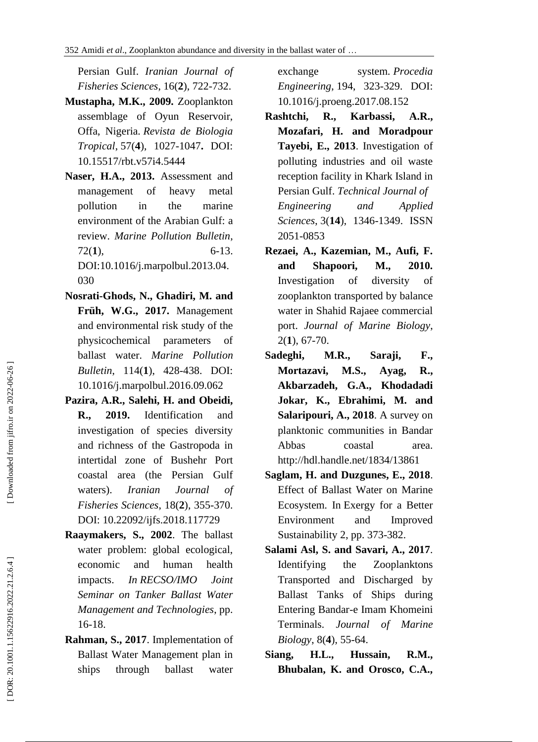Persian Gulf. *Iranian Journal of Fisheries Sciences*, 16( **2** ) , 722 -732.

- **Mustapha, M.K., 2009.** Zooplankton assemblage of Oyun Reservoir, Offa, Nigeria. *Revista de Biologia Tropical* , 57( **4**), 1027 -1047 **.** DOI: [10.15517/rbt.v57i4.5444](http://dx.doi.org/10.15517/rbt.v57i4.5444)
- **Naser, H.A., 2013.** Assessment and management of heavy metal pollution in the marine environment of the Arabian Gulf: a review. *Marine Pollution Bulletin*,  $72(1)$ , **1**), 6 -13. [DOI:10.1016/j.marpolbul.2013.04.](https://doi.org/10.1016/j.marpolbul.2013.04.030) [030](https://doi.org/10.1016/j.marpolbul.2013.04.030)
- **Nosrati -Ghods, N., Ghadiri, M. and Früh, W.G., 2017.** Management and environmental risk study of the physicochemical parameters of ballast water. *Marine Pollution Bulletin*, 114( **1**), 428 -438. [DOI:](https://doi.org/10.1016/j.marpolbul.2016.09.062)  [10.1016/j.marpolbul.2016.09.062](https://doi.org/10.1016/j.marpolbul.2016.09.062)
- **Pazira, A.R., Salehi, H. and Obeidi, R., 2019.** Identification and investigation of species diversity and richness of the Gastropoda in intertidal zone of Bushehr Port coastal area (the Persian Gulf waters). *Iranian Journal of Fisheries Sciences*, 18( **2**), 355 -370. DOI: 10.22092/ijfs.2018.117729
- **Raaymakers, S., 2002**. The ballast water problem: global ecological, economic and human health impacts. *In RECSO/IMO Joint Seminar on Tanker Ballast Water Management and Technologies*, pp . 16 -18.
- **Rahman, S., 2017**. Implementation of Ballast Water Management plan in ships through ballast water

exchange *. Procedia Engineering* , 194, 323 -329. [DOI:](https://doi.org/10.1016/j.proeng.2017.08.152)  [10.1016/j.proeng.2017.08.152](https://doi.org/10.1016/j.proeng.2017.08.152)

- **Rashtchi, R., Karbassi, A.R., Mozafari, H. and Moradpour Tayebi, E., 2013**. Investigation of polluting industries and oil waste reception facility in Khark Island in Persian Gulf. *Technical Journal of Engineering and Applied Sciences* , 3(**14**), 1346 -1349 . ISSN 2051 -0853
- **Rezaei, A., Kazemian, M., Aufi, F. and Shapoori, M., 2010.** Investigation of diversity of zooplankton transported by balance water in Shahid Rajaee commercial port. *Journal of Marine Biology*, 2( **1**), 67 -70.
- **Sadeghi, M.R., Saraji, F., Mortazavi, M.S., Ayag, R., Akbarzadeh, G.A., Khodadadi Jokar, K., Ebrahimi, M. and Salaripouri, A., 2018**. A survey on planktonic communities in Bandar Abbas coastal area. <http://hdl.handle.net/1834/13861>
- **Saglam, H. and Duzgunes, E., 2018**. Effect of Ballast Water on Marine Ecosystem*.* In Exergy for a Better Environment and Improved Sustainability 2, pp . 373 -382.
- **Salami Asl, S. and Savari, A., 2017**. Identifying the Zooplanktons Transported and Discharged by Ballast Tanks of Ships during Entering Bandar -e Imam Khomeini Terminals. *Journal of Marine Biology*, 8( **4**), 55 -64.
- **Siang, H.L., Hussain, R.M., Bhubalan, K. and Orosco, C.A.,**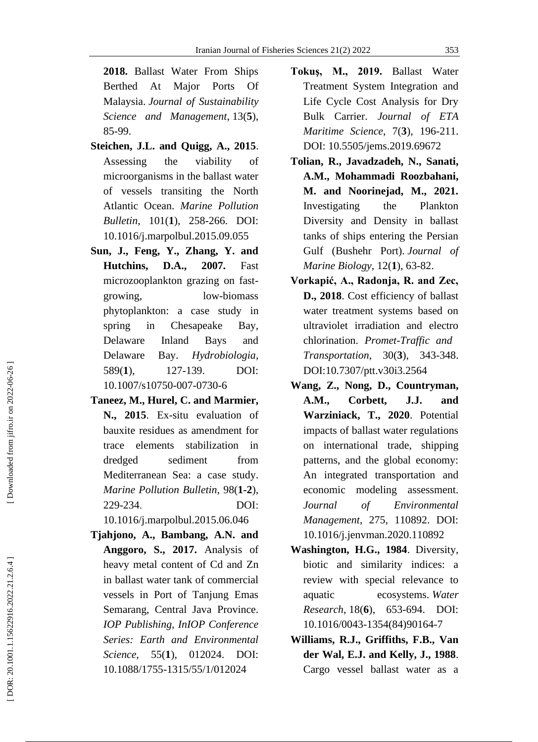**2018.** Ballast Water From Ships Berthed At Major Ports Of Malaysia. *Journal of Sustainability Science and Management* , 13( **5**), 85 -99.

- **Steichen, J.L. and Quigg, A., 2015**. Assessing the viability of microorganisms in the ballast water of vessels transiting the North Atlantic Ocean. *Marine Pollution Bulletin*, 101( **1**), 258 -266. [DOI:](https://doi.org/10.1016/j.marpolbul.2015.09.055)  [10.1016/j.marpolbul.2015.09.055](https://doi.org/10.1016/j.marpolbul.2015.09.055)
- **Sun, J., Feng, Y., Zhang, Y. and Hutchins, D.A., 2007.** Fast microzooplankton grazing on fast growing, low-biomass phytoplankton: a case study in spring in Chesapeake Bay, Delaware Inland Bays and Delaware Bay. *Hydrobiologia*,  $589(1)$ . **1**), 127 DOI: 10.1007/s10750 -007 -0730 - 6
- **Taneez, M., Hurel, C. and Marmier, N., 2015**. Ex -situ evaluation of bauxite residues as amendment for trace elements stabilization in dredged sediment from Mediterranean Sea: a case study. *Marine Pollution Bulletin*, 98( **1 - 2** ), 229 -234 . DOI : 10.1016/j.marpolbul.2015.06.046
- **Tjahjono, A., Bambang, A.N. and Anggoro, S., 2017.** Analysis of heavy metal content of Cd and Zn in ballast water tank of commercial vessels in Port of Tanjung Emas Semarang, Central Java Province. *IOP Publishing, InIOP Conference Series: Earth and Environmental Science*, 55(1), **1**), 012024. DOI: 10.1088/1755 -1315/55/1/012024
- **Tokuş, M., 2019.** Ballast Water Treatment System Integration and Life Cycle Cost Analysis for Dry Bulk Carrier. *Journal of ETA Maritime Science*, 7( **3**), 196 -211. DOI: [10.5505/jems.2019.69672](https://dx.doi.org/10.5505/jems.2019.69672)
- **Tolian, R., Javadzadeh, N., Sanati, A.M., Mohammadi Roozbahani, M. and Noorinejad, M., 2021.**  Investigating the Plankton Diversity and Density in ballast tanks of ships entering the Persian Gulf (Bushehr Port). *Journal of Marine Biology* , 12( **1**), 63 -82.
- **Vorkapić, A., Radonja, R. and Zec, D., 2018**. Cost efficiency of ballast water treatment systems based on ultraviolet irradiation and electro chlorination. *Promet -Traffic and Transportation*, 30( **3**), 343 -348. DOI[:10.7307/ptt.v30i3.2564](http://dx.doi.org/10.7307/ptt.v30i3.2564)
- **Wang, Z., Nong, D., Countryman, A.M., Corbett, J.J. and Warziniack, T., 2020**. Potential impacts of ballast water regulations on international trade, shipping patterns, and the global economy: An integrated transportation and economic modeling assessment. *Journal of Environmental Management*, 275, 110892 . [DOI:](https://doi.org/10.1016/j.jenvman.2020.110892)  [10.1016/j.jenvman.2020.110892](https://doi.org/10.1016/j.jenvman.2020.110892)
- **Washington, H.G., 1984**. Diversity, biotic and similarity indices: a review with special relevance to aquatic ecosystems. *Water Research* , 18( **6**), 653 -694. DOI: 10.1016/0043 -1354(84)90164 - 7
- **Williams, R.J., Griffiths, F.B., Van der Wal, E.J. and Kelly, J., 1988**. Cargo vessel ballast water as a